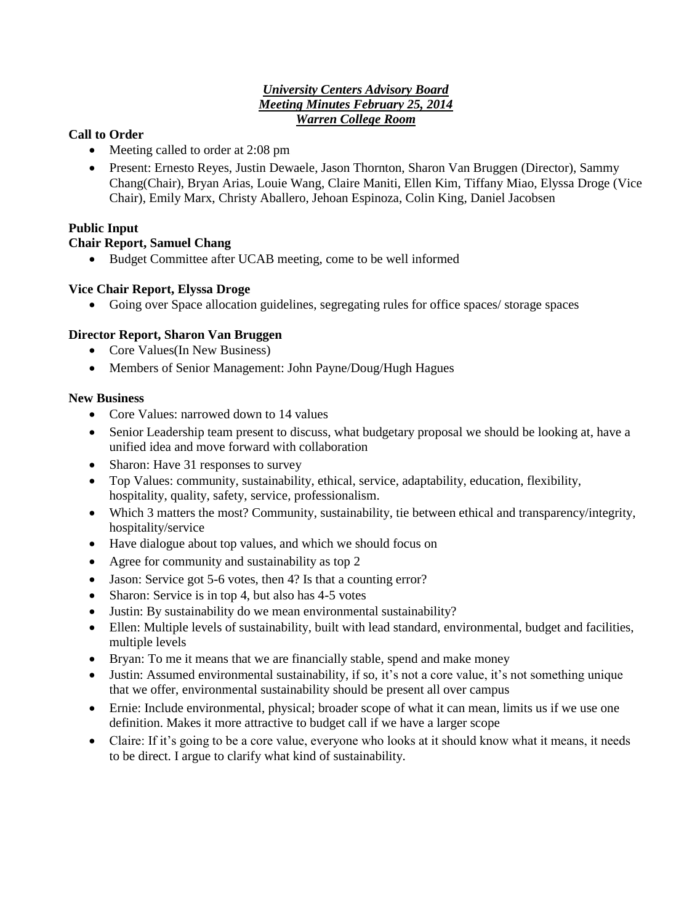#### *University Centers Advisory Board Meeting Minutes February 25, 2014 Warren College Room*

## **Call to Order**

- Meeting called to order at 2:08 pm
- Present: Ernesto Reyes, Justin Dewaele, Jason Thornton, Sharon Van Bruggen (Director), Sammy Chang(Chair), Bryan Arias, Louie Wang, Claire Maniti, Ellen Kim, Tiffany Miao, Elyssa Droge (Vice Chair), Emily Marx, Christy Aballero, Jehoan Espinoza, Colin King, Daniel Jacobsen

## **Public Input**

## **Chair Report, Samuel Chang**

Budget Committee after UCAB meeting, come to be well informed

## **Vice Chair Report, Elyssa Droge**

Going over Space allocation guidelines, segregating rules for office spaces/ storage spaces

## **Director Report, Sharon Van Bruggen**

- Core Values(In New Business)
- Members of Senior Management: John Payne/Doug/Hugh Hagues

## **New Business**

- Core Values: narrowed down to 14 values
- Senior Leadership team present to discuss, what budgetary proposal we should be looking at, have a unified idea and move forward with collaboration
- Sharon: Have 31 responses to survey
- Top Values: community, sustainability, ethical, service, adaptability, education, flexibility, hospitality, quality, safety, service, professionalism.
- Which 3 matters the most? Community, sustainability, tie between ethical and transparency/integrity, hospitality/service
- Have dialogue about top values, and which we should focus on
- Agree for community and sustainability as top 2
- Jason: Service got 5-6 votes, then 4? Is that a counting error?
- Sharon: Service is in top 4, but also has 4-5 votes
- Justin: By sustainability do we mean environmental sustainability?
- Ellen: Multiple levels of sustainability, built with lead standard, environmental, budget and facilities, multiple levels
- Bryan: To me it means that we are financially stable, spend and make money
- Justin: Assumed environmental sustainability, if so, it's not a core value, it's not something unique that we offer, environmental sustainability should be present all over campus
- Ernie: Include environmental, physical; broader scope of what it can mean, limits us if we use one definition. Makes it more attractive to budget call if we have a larger scope
- Claire: If it's going to be a core value, everyone who looks at it should know what it means, it needs to be direct. I argue to clarify what kind of sustainability.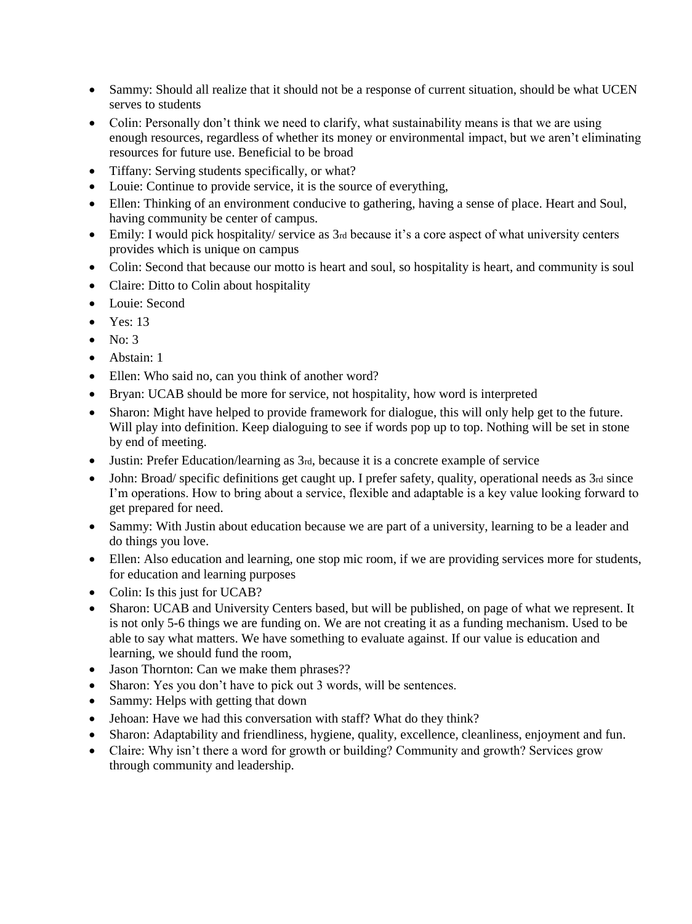- Sammy: Should all realize that it should not be a response of current situation, should be what UCEN serves to students
- Colin: Personally don't think we need to clarify, what sustainability means is that we are using enough resources, regardless of whether its money or environmental impact, but we aren't eliminating resources for future use. Beneficial to be broad
- Tiffany: Serving students specifically, or what?
- Louie: Continue to provide service, it is the source of everything,
- Ellen: Thinking of an environment conducive to gathering, having a sense of place. Heart and Soul, having community be center of campus.
- Emily: I would pick hospitality/ service as 3rd because it's a core aspect of what university centers provides which is unique on campus
- Colin: Second that because our motto is heart and soul, so hospitality is heart, and community is soul
- Claire: Ditto to Colin about hospitality
- Louie: Second
- Yes: 13
- $\bullet$  No: 3
- Abstain: 1
- Ellen: Who said no, can you think of another word?
- Bryan: UCAB should be more for service, not hospitality, how word is interpreted
- Sharon: Might have helped to provide framework for dialogue, this will only help get to the future. Will play into definition. Keep dialoguing to see if words pop up to top. Nothing will be set in stone by end of meeting.
- Justin: Prefer Education/learning as 3rd, because it is a concrete example of service
- John: Broad/ specific definitions get caught up. I prefer safety, quality, operational needs as 3rd since I'm operations. How to bring about a service, flexible and adaptable is a key value looking forward to get prepared for need.
- Sammy: With Justin about education because we are part of a university, learning to be a leader and do things you love.
- Ellen: Also education and learning, one stop mic room, if we are providing services more for students, for education and learning purposes
- Colin: Is this just for UCAB?
- Sharon: UCAB and University Centers based, but will be published, on page of what we represent. It is not only 5-6 things we are funding on. We are not creating it as a funding mechanism. Used to be able to say what matters. We have something to evaluate against. If our value is education and learning, we should fund the room,
- Jason Thornton: Can we make them phrases??
- Sharon: Yes you don't have to pick out 3 words, will be sentences.
- Sammy: Helps with getting that down
- Jehoan: Have we had this conversation with staff? What do they think?
- Sharon: Adaptability and friendliness, hygiene, quality, excellence, cleanliness, enjoyment and fun.
- Claire: Why isn't there a word for growth or building? Community and growth? Services grow through community and leadership.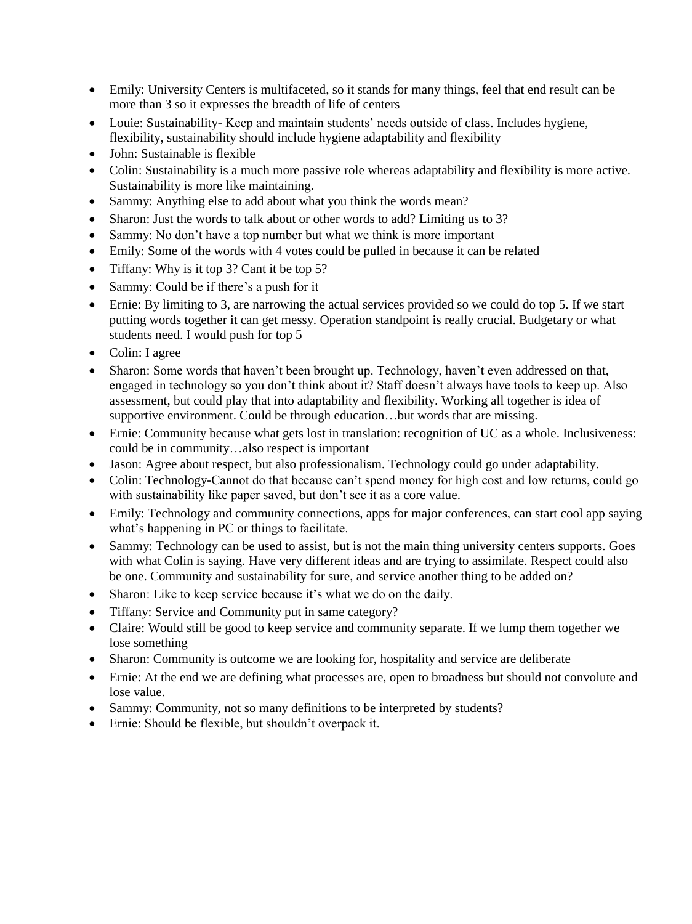- Emily: University Centers is multifaceted, so it stands for many things, feel that end result can be more than 3 so it expresses the breadth of life of centers
- Louie: Sustainability- Keep and maintain students' needs outside of class. Includes hygiene, flexibility, sustainability should include hygiene adaptability and flexibility
- John: Sustainable is flexible
- Colin: Sustainability is a much more passive role whereas adaptability and flexibility is more active. Sustainability is more like maintaining.
- Sammy: Anything else to add about what you think the words mean?
- Sharon: Just the words to talk about or other words to add? Limiting us to 3?
- Sammy: No don't have a top number but what we think is more important
- Emily: Some of the words with 4 votes could be pulled in because it can be related
- Tiffany: Why is it top 3? Cant it be top 5?
- Sammy: Could be if there's a push for it
- Ernie: By limiting to 3, are narrowing the actual services provided so we could do top 5. If we start putting words together it can get messy. Operation standpoint is really crucial. Budgetary or what students need. I would push for top 5
- Colin: I agree
- Sharon: Some words that haven't been brought up. Technology, haven't even addressed on that, engaged in technology so you don't think about it? Staff doesn't always have tools to keep up. Also assessment, but could play that into adaptability and flexibility. Working all together is idea of supportive environment. Could be through education…but words that are missing.
- Ernie: Community because what gets lost in translation: recognition of UC as a whole. Inclusiveness: could be in community…also respect is important
- Jason: Agree about respect, but also professionalism. Technology could go under adaptability.
- Colin: Technology-Cannot do that because can't spend money for high cost and low returns, could go with sustainability like paper saved, but don't see it as a core value.
- Emily: Technology and community connections, apps for major conferences, can start cool app saying what's happening in PC or things to facilitate.
- Sammy: Technology can be used to assist, but is not the main thing university centers supports. Goes with what Colin is saying. Have very different ideas and are trying to assimilate. Respect could also be one. Community and sustainability for sure, and service another thing to be added on?
- Sharon: Like to keep service because it's what we do on the daily.
- Tiffany: Service and Community put in same category?
- Claire: Would still be good to keep service and community separate. If we lump them together we lose something
- Sharon: Community is outcome we are looking for, hospitality and service are deliberate
- Ernie: At the end we are defining what processes are, open to broadness but should not convolute and lose value.
- Sammy: Community, not so many definitions to be interpreted by students?
- Ernie: Should be flexible, but shouldn't overpack it.